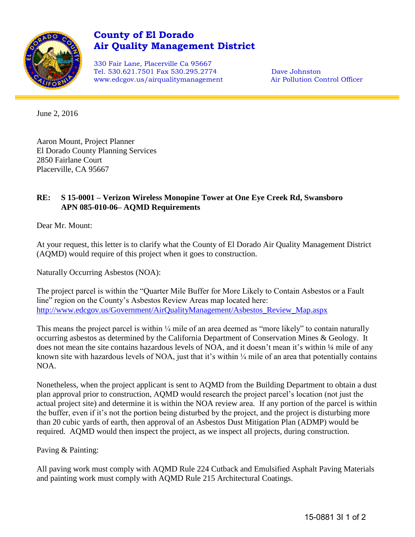

## **County of El Dorado Air Quality Management District**

330 Fair Lane, Placerville Ca 95667 Tel. 530.621.7501 Fax 530.295.2774 Dave Johnston www.edcgov.us/airqualitymanagement Air Pollution Control Officer

June 2, 2016

Aaron Mount, Project Planner El Dorado County Planning Services 2850 Fairlane Court Placerville, CA 95667

## **RE: S 15-0001 – Verizon Wireless Monopine Tower at One Eye Creek Rd, Swansboro APN 085-010-06– AQMD Requirements**

Dear Mr. Mount:

At your request, this letter is to clarify what the County of El Dorado Air Quality Management District (AQMD) would require of this project when it goes to construction.

Naturally Occurring Asbestos (NOA):

The project parcel is within the "Quarter Mile Buffer for More Likely to Contain Asbestos or a Fault line" region on the County's Asbestos Review Areas map located here: [http://www.edcgov.us/Government/AirQualityManagement/Asbestos\\_Review\\_Map.aspx](http://www.edcgov.us/Government/AirQualityManagement/Asbestos_Review_Map.aspx)

This means the project parcel is within  $\frac{1}{4}$  mile of an area deemed as "more likely" to contain naturally occurring asbestos as determined by the California Department of Conservation Mines & Geology. It does not mean the site contains hazardous levels of NOA, and it doesn't mean it's within 1/4 mile of any known site with hazardous levels of NOA, just that it's within  $\frac{1}{4}$  mile of an area that potentially contains NOA.

Nonetheless, when the project applicant is sent to AQMD from the Building Department to obtain a dust plan approval prior to construction, AQMD would research the project parcel's location (not just the actual project site) and determine it is within the NOA review area. If any portion of the parcel is within the buffer, even if it's not the portion being disturbed by the project, and the project is disturbing more than 20 cubic yards of earth, then approval of an Asbestos Dust Mitigation Plan (ADMP) would be required. AQMD would then inspect the project, as we inspect all projects, during construction.

Paving & Painting:

All paving work must comply with AQMD Rule 224 Cutback and Emulsified Asphalt Paving Materials and painting work must comply with AQMD Rule 215 Architectural Coatings.